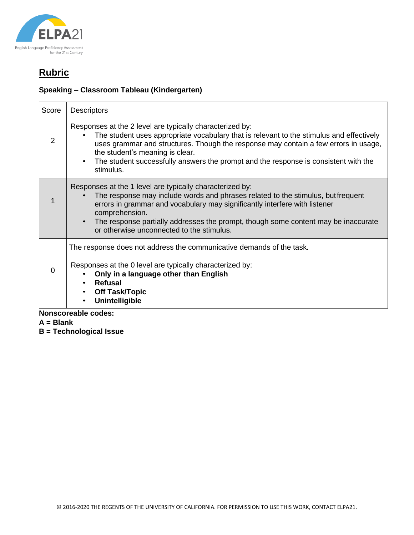

## **Speaking – Classroom Tableau (Kindergarten)**

| Score                      | <b>Descriptors</b>                                                                                                                                                                                                                                                                                                                                                                 |  |
|----------------------------|------------------------------------------------------------------------------------------------------------------------------------------------------------------------------------------------------------------------------------------------------------------------------------------------------------------------------------------------------------------------------------|--|
| 2                          | Responses at the 2 level are typically characterized by:<br>The student uses appropriate vocabulary that is relevant to the stimulus and effectively<br>uses grammar and structures. Though the response may contain a few errors in usage,<br>the student's meaning is clear.<br>The student successfully answers the prompt and the response is consistent with the<br>stimulus. |  |
| 1                          | Responses at the 1 level are typically characterized by:<br>The response may include words and phrases related to the stimulus, but frequent<br>errors in grammar and vocabulary may significantly interfere with listener<br>comprehension.<br>The response partially addresses the prompt, though some content may be inaccurate<br>or otherwise unconnected to the stimulus.    |  |
| $\Omega$                   | The response does not address the communicative demands of the task.<br>Responses at the 0 level are typically characterized by:<br>Only in a language other than English<br><b>Refusal</b><br><b>Off Task/Topic</b><br><b>Unintelligible</b>                                                                                                                                      |  |
| <b>Nonscoreable codes:</b> |                                                                                                                                                                                                                                                                                                                                                                                    |  |

- **A = Blank**
- **B = Technological Issue**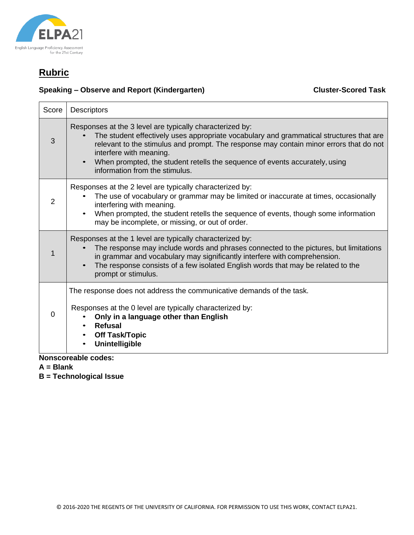

## **Speaking – Observe and Report (Kindergarten) Cluster-Scored Task**

| Score          | <b>Descriptors</b>                                                                                                                                                                                                                                                                                                                                                                                     |
|----------------|--------------------------------------------------------------------------------------------------------------------------------------------------------------------------------------------------------------------------------------------------------------------------------------------------------------------------------------------------------------------------------------------------------|
| 3              | Responses at the 3 level are typically characterized by:<br>The student effectively uses appropriate vocabulary and grammatical structures that are<br>relevant to the stimulus and prompt. The response may contain minor errors that do not<br>interfere with meaning.<br>When prompted, the student retells the sequence of events accurately, using<br>$\bullet$<br>information from the stimulus. |
| $\overline{2}$ | Responses at the 2 level are typically characterized by:<br>The use of vocabulary or grammar may be limited or inaccurate at times, occasionally<br>interfering with meaning.<br>When prompted, the student retells the sequence of events, though some information<br>$\bullet$<br>may be incomplete, or missing, or out of order.                                                                    |
|                | Responses at the 1 level are typically characterized by:<br>The response may include words and phrases connected to the pictures, but limitations<br>in grammar and vocabulary may significantly interfere with comprehension.<br>The response consists of a few isolated English words that may be related to the<br>prompt or stimulus.                                                              |
| $\Omega$       | The response does not address the communicative demands of the task.<br>Responses at the 0 level are typically characterized by:<br>Only in a language other than English<br><b>Refusal</b><br>$\bullet$<br><b>Off Task/Topic</b><br>$\bullet$<br><b>Unintelligible</b>                                                                                                                                |

**Nonscoreable codes:**

**A = Blank**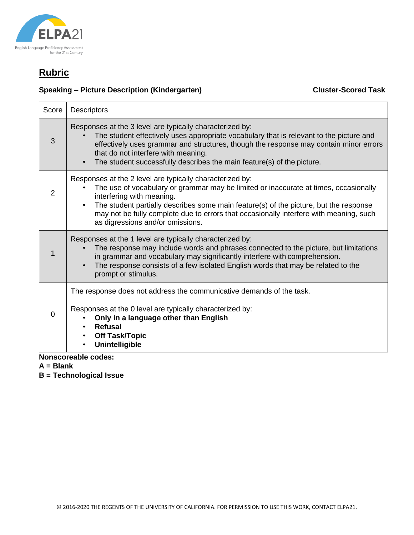

## **Speaking – Picture Description (Kindergarten) Cluster-Scored Task**

| Score    | <b>Descriptors</b>                                                                                                                                                                                                                                                                                                                                                                                                |
|----------|-------------------------------------------------------------------------------------------------------------------------------------------------------------------------------------------------------------------------------------------------------------------------------------------------------------------------------------------------------------------------------------------------------------------|
| 3        | Responses at the 3 level are typically characterized by:<br>The student effectively uses appropriate vocabulary that is relevant to the picture and<br>effectively uses grammar and structures, though the response may contain minor errors<br>that do not interfere with meaning.<br>The student successfully describes the main feature(s) of the picture.                                                     |
| 2        | Responses at the 2 level are typically characterized by:<br>The use of vocabulary or grammar may be limited or inaccurate at times, occasionally<br>interfering with meaning.<br>The student partially describes some main feature(s) of the picture, but the response<br>$\bullet$<br>may not be fully complete due to errors that occasionally interfere with meaning, such<br>as digressions and/or omissions. |
|          | Responses at the 1 level are typically characterized by:<br>The response may include words and phrases connected to the picture, but limitations<br>in grammar and vocabulary may significantly interfere with comprehension.<br>The response consists of a few isolated English words that may be related to the<br>prompt or stimulus.                                                                          |
| $\Omega$ | The response does not address the communicative demands of the task.<br>Responses at the 0 level are typically characterized by:<br>Only in a language other than English<br><b>Refusal</b><br><b>Off Task/Topic</b><br>Unintelligible                                                                                                                                                                            |

**Nonscoreable codes:**

**A = Blank**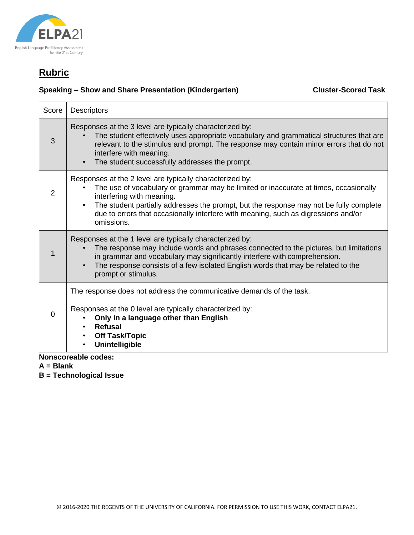

## **Speaking – Show and Share Presentation (Kindergarten) Cluster-Scored Task**

| Score    | <b>Descriptors</b>                                                                                                                                                                                                                                                                                                                                                          |
|----------|-----------------------------------------------------------------------------------------------------------------------------------------------------------------------------------------------------------------------------------------------------------------------------------------------------------------------------------------------------------------------------|
| 3        | Responses at the 3 level are typically characterized by:<br>The student effectively uses appropriate vocabulary and grammatical structures that are<br>relevant to the stimulus and prompt. The response may contain minor errors that do not<br>interfere with meaning.<br>The student successfully addresses the prompt.                                                  |
| 2        | Responses at the 2 level are typically characterized by:<br>The use of vocabulary or grammar may be limited or inaccurate at times, occasionally<br>interfering with meaning.<br>The student partially addresses the prompt, but the response may not be fully complete<br>due to errors that occasionally interfere with meaning, such as digressions and/or<br>omissions. |
| 1        | Responses at the 1 level are typically characterized by:<br>The response may include words and phrases connected to the pictures, but limitations<br>in grammar and vocabulary may significantly interfere with comprehension.<br>The response consists of a few isolated English words that may be related to the<br>$\bullet$<br>prompt or stimulus.                      |
| $\Omega$ | The response does not address the communicative demands of the task.<br>Responses at the 0 level are typically characterized by:<br>Only in a language other than English<br><b>Refusal</b><br><b>Off Task/Topic</b><br><b>Unintelligible</b>                                                                                                                               |

**Nonscoreable codes:**

**A = Blank**